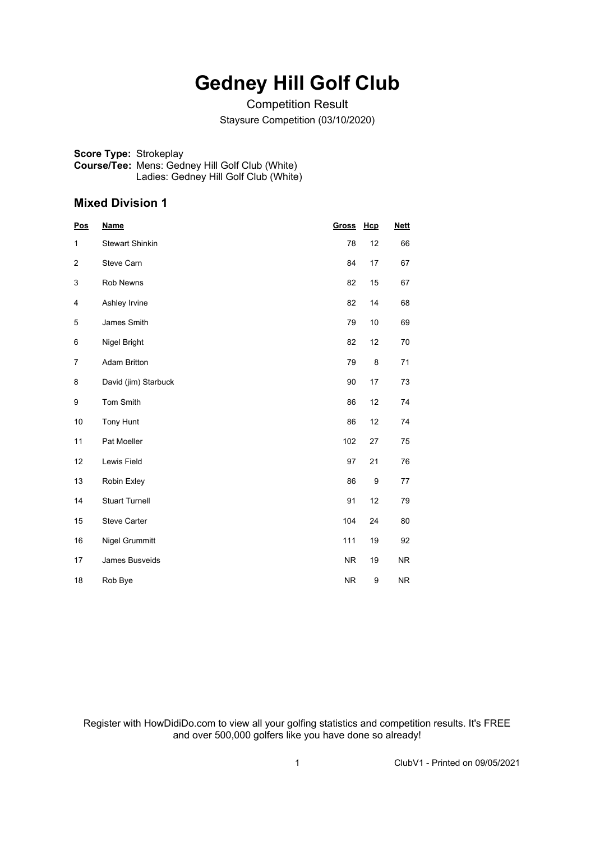## **Gedney Hill Golf Club**

Competition Result Staysure Competition (03/10/2020)

**Score Type:** Strokeplay **Course/Tee:** Mens: Gedney Hill Golf Club (White) Ladies: Gedney Hill Golf Club (White)

#### **Mixed Division 1**

| <b>Pos</b> | <b>Name</b>            | <b>Gross</b> | Hcp              | <b>Nett</b> |
|------------|------------------------|--------------|------------------|-------------|
| 1          | <b>Stewart Shinkin</b> | 78           | 12               | 66          |
| 2          | Steve Carn             | 84           | 17               | 67          |
| 3          | Rob Newns              | 82           | 15               | 67          |
| 4          | Ashley Irvine          | 82           | 14               | 68          |
| 5          | James Smith            | 79           | 10               | 69          |
| 6          | Nigel Bright           | 82           | 12               | 70          |
| 7          | <b>Adam Britton</b>    | 79           | 8                | 71          |
| 8          | David (jim) Starbuck   | 90           | 17               | 73          |
| 9          | Tom Smith              | 86           | 12               | 74          |
| 10         | <b>Tony Hunt</b>       | 86           | 12               | 74          |
| 11         | Pat Moeller            | 102          | 27               | 75          |
| 12         | Lewis Field            | 97           | 21               | 76          |
| 13         | Robin Exley            | 86           | $\boldsymbol{9}$ | 77          |
| 14         | <b>Stuart Turnell</b>  | 91           | 12               | 79          |
| 15         | <b>Steve Carter</b>    | 104          | 24               | 80          |
| 16         | Nigel Grummitt         | 111          | 19               | 92          |
| 17         | James Busveids         | <b>NR</b>    | 19               | NR.         |
| 18         | Rob Bye                | <b>NR</b>    | 9                | <b>NR</b>   |

Register with HowDidiDo.com to view all your golfing statistics and competition results. It's FREE and over 500,000 golfers like you have done so already!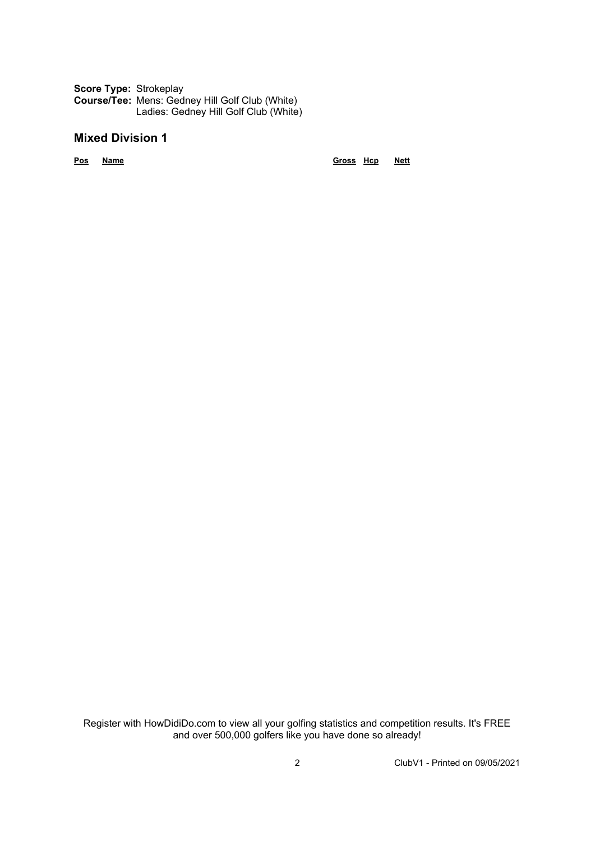**Score Type:** Strokeplay **Course/Tee:** Mens: Gedney Hill Golf Club (White) Ladies: Gedney Hill Golf Club (White)

### **Mixed Division 1**

**Pos Name Gross Hcp Nett**

Register with HowDidiDo.com to view all your golfing statistics and competition results. It's FREE and over 500,000 golfers like you have done so already!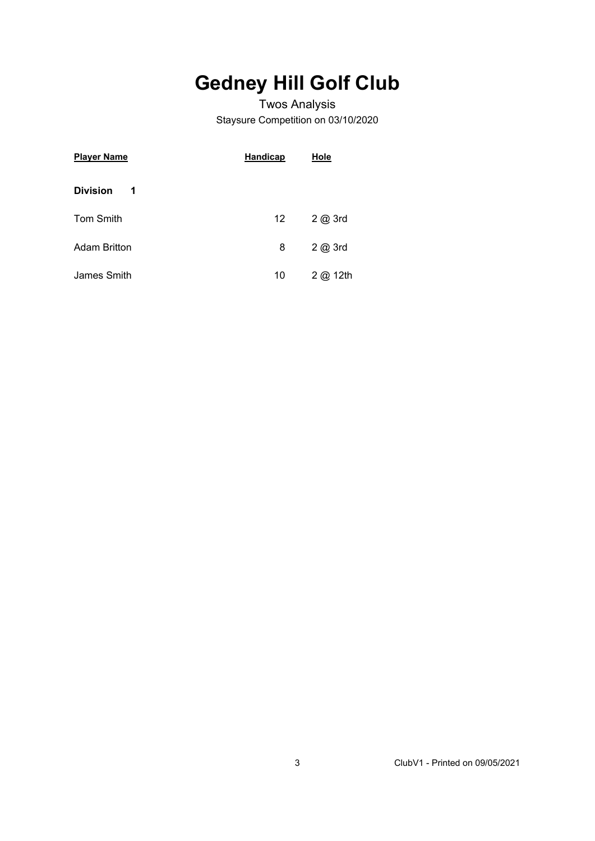# **Gedney Hill Golf Club**

### Twos Analysis Staysure Competition on 03/10/2020

| <b>Player Name</b>   | <b>Handicap</b>  | Hole             |  |  |  |
|----------------------|------------------|------------------|--|--|--|
| <b>Division</b><br>1 |                  |                  |  |  |  |
| <b>Tom Smith</b>     | 12 <sup>12</sup> | $2$ $\omega$ 3rd |  |  |  |
| <b>Adam Britton</b>  | 8                | $2$ $\omega$ 3rd |  |  |  |
| James Smith          | 10               | 2 @ 12th         |  |  |  |